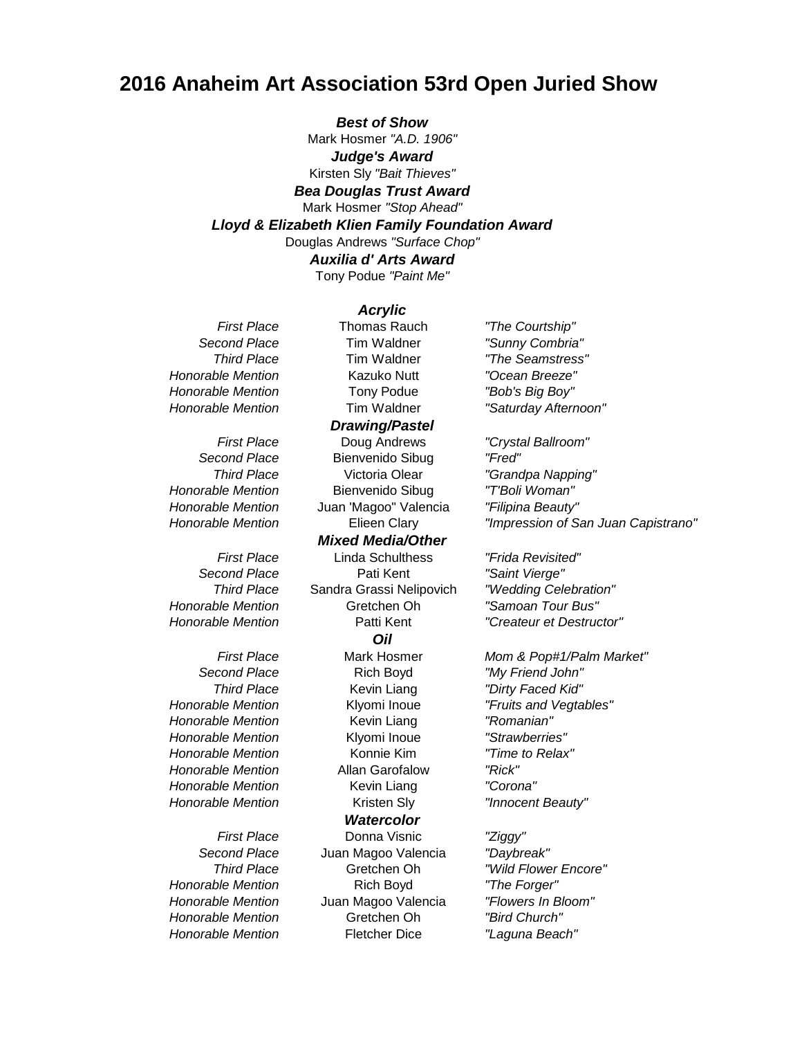# **2016 Anaheim Art Association 53rd Open Juried Show**

*Best of Show*

Mark Hosmer *"A.D. 1906" Judge's Award*

Kirsten Sly *"Bait Thieves"*

*Bea Douglas Trust Award* Mark Hosmer *"Stop Ahead" Lloyd & Elizabeth Klien Family Foundation Award*

Douglas Andrews *"Surface Chop" Auxilia d' Arts Award*

Tony Podue *"Paint Me"*

## *Acrylic*

*Honorable Mention* Bienvenido Sibug *"T'Boli Woman"*

*Honorable Mention* Kevin Liang *"Romanian" Honorable Mention* Klyomi Inoue *"Strawberries" Honorable Mention* Konnie Kim *"Time to Relax" Honorable Mention* Allan Garofalow *"Rick" Honorable Mention* Kevin Liang *"Corona" Honorable Mention* Kristen Sly *"Innocent Beauty"*

*First Place* Thomas Rauch *"The Courtship" Second Place* Tim Waldner *"Sunny Combria" Third Place* Tim Waldner *"The Seamstress" Honorable Mention* Kazuko Nutt *"Ocean Breeze" Honorable Mention* Tony Podue *"Bob's Big Boy" Honorable Mention* Tim Waldner *"Saturday Afternoon" First Place* Doug Andrews *"Crystal Ballroom" Second Place* Bienvenido Sibug *"Fred" Third Place* Victoria Olear *"Grandpa Napping" Drawing/Pastel*

*Honorable Mention* Juan 'Magoo" Valencia *"Filipina Beauty" First Place* Linda Schulthess *"Frida Revisited" Second Place* Pati Kent *"Saint Vierge" Third Place* Sandra Grassi Nelipovich *"Wedding Celebration" Honorable Mention* Gretchen Oh *"Samoan Tour Bus" Mixed Media/Other Oil*

*Watercolor*

*First Place* Donna Visnic *"Ziggy" Second Place* Juan Magoo Valencia *"Daybreak" Third Place* Gretchen Oh *"Wild Flower Encore" Honorable Mention* Rich Boyd *"The Forger" Honorable Mention* Juan Magoo Valencia *"Flowers In Bloom" Honorable Mention* Gretchen Oh *"Bird Church" Honorable Mention* Fletcher Dice *"Laguna Beach"*

*Honorable Mention* Elieen Clary *"Impression of San Juan Capistrano"*

*Honorable Mention* Patti Kent *"Createur et Destructor"*

*First Place* Mark Hosmer *Mom & Pop#1/Palm Market"* **Second Place Rich Boyd** *"My Friend John" Third Place* Kevin Liang *"Dirty Faced Kid" Honorable Mention* Klyomi Inoue *"Fruits and Vegtables"*